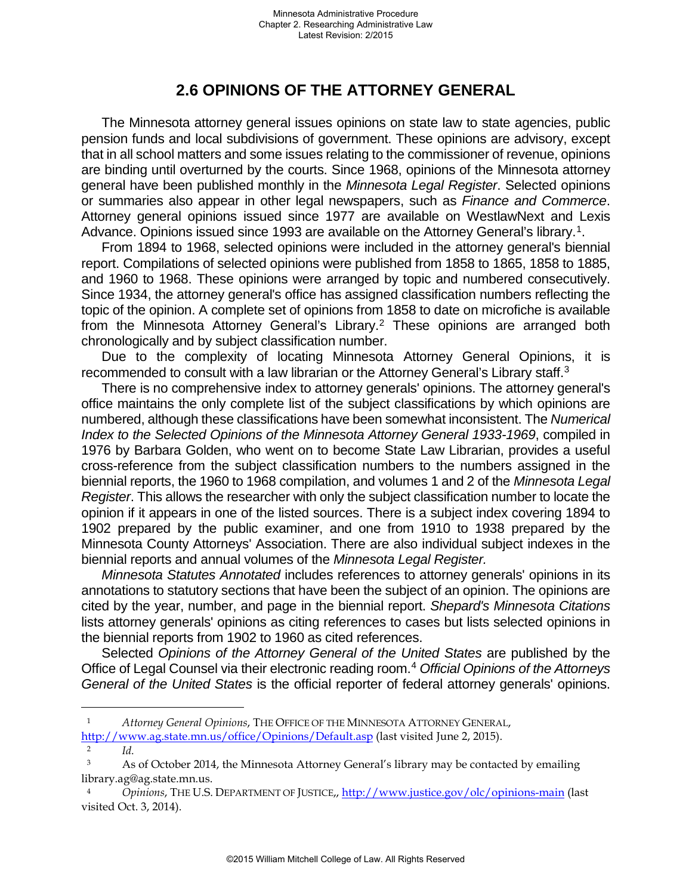## **2.6 OPINIONS OF THE ATTORNEY GENERAL**

The Minnesota attorney general issues opinions on state law to state agencies, public pension funds and local subdivisions of government. These opinions are advisory, except that in all school matters and some issues relating to the commissioner of revenue, opinions are binding until overturned by the courts. Since 1968, opinions of the Minnesota attorney general have been published monthly in the *Minnesota Legal Register*. Selected opinions or summaries also appear in other legal newspapers, such as *Finance and Commerce*. Attorney general opinions issued since 1977 are available on WestlawNext and Lexis Advance. Opinions issued since 1993 are available on the Attorney General's library.<sup>1</sup>.

From 1894 to 1968, selected opinions were included in the attorney general's biennial report. Compilations of selected opinions were published from 1858 to 1865, 1858 to 1885, and 1960 to 1968. These opinions were arranged by topic and numbered consecutively. Since 1934, the attorney general's office has assigned classification numbers reflecting the topic of the opinion. A complete set of opinions from 1858 to date on microfiche is available from the Minnesota Attorney General's Library.[2](#page-0-1) These opinions are arranged both chronologically and by subject classification number.

Due to the complexity of locating Minnesota Attorney General Opinions, it is recommended to consult with a law librarian or the Attorney General's Library staff[.3](#page-0-2)

There is no comprehensive index to attorney generals' opinions. The attorney general's office maintains the only complete list of the subject classifications by which opinions are numbered, although these classifications have been somewhat inconsistent. The *Numerical Index to the Selected Opinions of the Minnesota Attorney General 1933-1969*, compiled in 1976 by Barbara Golden, who went on to become State Law Librarian, provides a useful cross-reference from the subject classification numbers to the numbers assigned in the biennial reports, the 1960 to 1968 compilation, and volumes 1 and 2 of the *Minnesota Legal Register*. This allows the researcher with only the subject classification number to locate the opinion if it appears in one of the listed sources. There is a subject index covering 1894 to 1902 prepared by the public examiner, and one from 1910 to 1938 prepared by the Minnesota County Attorneys' Association. There are also individual subject indexes in the biennial reports and annual volumes of the *Minnesota Legal Register.*

*Minnesota Statutes Annotated* includes references to attorney generals' opinions in its annotations to statutory sections that have been the subject of an opinion. The opinions are cited by the year, number, and page in the biennial report. *Shepard's Minnesota Citations* lists attorney generals' opinions as citing references to cases but lists selected opinions in the biennial reports from 1902 to 1960 as cited references.

Selected *Opinions of the Attorney General of the United States* are published by the Office of Legal Counsel via their electronic reading room.[4](#page-0-3) *Official Opinions of the Attorneys General of the United States* is the official reporter of federal attorney generals' opinions.

÷,

<span id="page-0-0"></span><sup>1</sup> *Attorney General Opinions*, THE OFFICE OF THE MINNESOTA ATTORNEY GENERAL, <http://www.ag.state.mn.us/office/Opinions/Default.asp> (last visited June 2, 2015).

 $\frac{2}{10}$ 

<span id="page-0-2"></span><span id="page-0-1"></span><sup>&</sup>lt;sup>3</sup> As of October 2014, the Minnesota Attorney General's library may be contacted by emailing library.ag@ag.state.mn.us.

<span id="page-0-3"></span><sup>4</sup> *Opinions*, THE U.S. DEPARTMENT OF JUSTICE,[, http://www.justice.gov/olc/opinions-main](http://www.justice.gov/olc/opinions-main) (last visited Oct. 3, 2014).